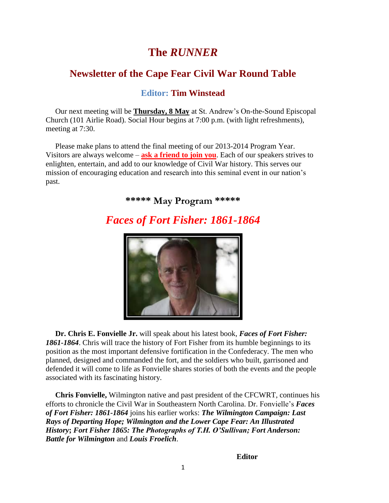# **The** *RUNNER*

## **Newsletter of the Cape Fear Civil War Round Table**

### **Editor: Tim Winstead**

 Our next meeting will be **Thursday, 8 May** at St. Andrew's On-the-Sound Episcopal Church (101 Airlie Road). Social Hour begins at 7:00 p.m. (with light refreshments), meeting at 7:30.

 Please make plans to attend the final meeting of our 2013-2014 Program Year. Visitors are always welcome – **ask a friend to join you**. Each of our speakers strives to enlighten, entertain, and add to our knowledge of Civil War history. This serves our mission of encouraging education and research into this seminal event in our nation's past.

**\*\*\*\*\* May Program \*\*\*\*\***

## *Faces of Fort Fisher: 1861-1864*



 **Dr. Chris E. Fonvielle Jr.** will speak about his latest book, *Faces of Fort Fisher: 1861-1864*. Chris will trace the history of Fort Fisher from its humble beginnings to its position as the most important defensive fortification in the Confederacy. The men who planned, designed and commanded the fort, and the soldiers who built, garrisoned and defended it will come to life as Fonvielle shares stories of both the events and the people associated with its fascinating history.

 **Chris Fonvielle,** Wilmington native and past president of the CFCWRT, continues his efforts to chronicle the Civil War in Southeastern North Carolina. Dr. Fonvielle's *Faces of Fort Fisher: 1861-1864* joins his earlier works: *The Wilmington Campaign: Last Rays of Departing Hope; Wilmington and the Lower Cape Fear: An Illustrated History***;** *Fort Fisher 1865: The Photographs of T.H. O'Sullivan; Fort Anderson: Battle for Wilmington* and *Louis Froelich*.

**Editor**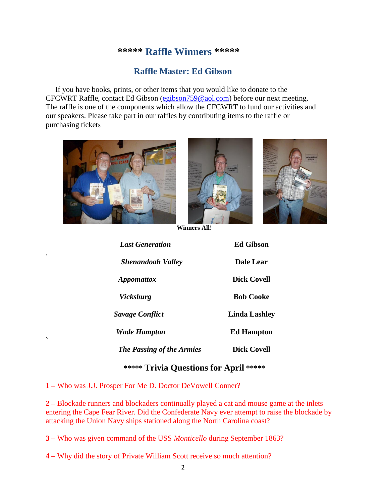### **\*\*\*\*\* Raffle Winners \*\*\*\*\***

### **Raffle Master: Ed Gibson**

 If you have books, prints, or other items that you would like to donate to the CFCWRT Raffle, contact Ed Gibson [\(egibson759@aol.com\)](mailto:egibson759@aol.com) before our next meeting. The raffle is one of the components which allow the CFCWRT to fund our activities and our speakers. Please take part in our raffles by contributing items to the raffle or purchasing tickets



**Winners All!**

| <b>Last Generation</b>           | <b>Ed Gibson</b>     |
|----------------------------------|----------------------|
| <b>Shenandoah Valley</b>         | <b>Dale Lear</b>     |
| <i>Appomattox</i>                | Dick Covell          |
| <b>Vicksburg</b>                 | <b>Bob Cooke</b>     |
| <b>Savage Conflict</b>           | <b>Linda Lashley</b> |
| <b>Wade Hampton</b>              | <b>Ed Hampton</b>    |
| <b>The Passing of the Armies</b> | <b>Dick Covell</b>   |

### **\*\*\*\*\* Trivia Questions for April \*\*\*\*\***

**1 –** Who was J.J. Prosper For Me D. Doctor DeVowell Conner?

.

`

**2 –** Blockade runners and blockaders continually played a cat and mouse game at the inlets entering the Cape Fear River. Did the Confederate Navy ever attempt to raise the blockade by attacking the Union Navy ships stationed along the North Carolina coast?

**3 –** Who was given command of the USS *Monticello* during September 1863?

**4 –** Why did the story of Private William Scott receive so much attention?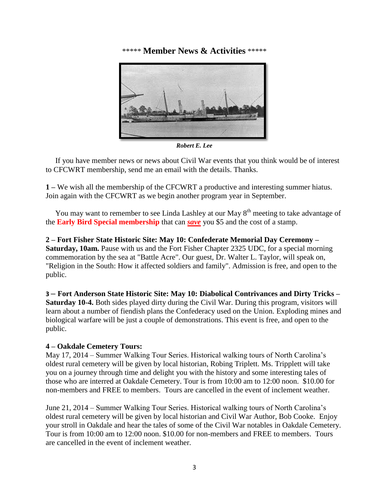\*\*\*\*\* **Member News & Activities** \*\*\*\*\*



*Robert E. Lee*

 If you have member news or news about Civil War events that you think would be of interest to CFCWRT membership, send me an email with the details. Thanks.

**1 –** We wish all the membership of the CFCWRT a productive and interesting summer hiatus. Join again with the CFCWRT as we begin another program year in September.

You may want to remember to see Linda Lashley at our May 8<sup>th</sup> meeting to take advantage of the **Early Bird Special membership** that can *save* you \$5 and the cost of a stamp.

**2 – Fort Fisher State Historic Site: May 10: Confederate Memorial Day Ceremony – Saturday, 10am.** Pause with us and the Fort Fisher Chapter 2325 UDC, for a special morning commemoration by the sea at "Battle Acre". Our guest, Dr. Walter L. Taylor, will speak on, "Religion in the South: How it affected soldiers and family". Admission is free, and open to the public.

**3 – Fort Anderson State Historic Site: May 10: Diabolical Contrivances and Dirty Tricks – Saturday 10-4.** Both sides played dirty during the Civil War. During this program, visitors will learn about a number of fiendish plans the Confederacy used on the Union. Exploding mines and biological warfare will be just a couple of demonstrations. This event is free, and open to the public.

### **4 – Oakdale Cemetery Tours:**

May 17, 2014 – Summer Walking Tour Series. Historical walking tours of North Carolina's oldest rural cemetery will be given by local historian, Robing Triplett. Ms. Tripplett will take you on a journey through time and delight you with the history and some interesting tales of those who are interred at Oakdale Cemetery. Tour is from 10:00 am to 12:00 noon. \$10.00 for non-members and FREE to members. Tours are cancelled in the event of inclement weather.

June 21, 2014 – Summer Walking Tour Series. Historical walking tours of North Carolina's oldest rural cemetery will be given by local historian and Civil War Author, Bob Cooke. Enjoy your stroll in Oakdale and hear the tales of some of the Civil War notables in Oakdale Cemetery. Tour is from 10:00 am to 12:00 noon. \$10.00 for non-members and FREE to members. Tours are cancelled in the event of inclement weather.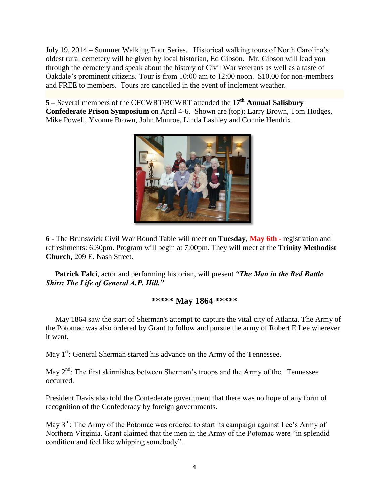July 19, 2014 – Summer Walking Tour Series. Historical walking tours of North Carolina's oldest rural cemetery will be given by local historian, Ed Gibson. Mr. Gibson will lead you through the cemetery and speak about the history of Civil War veterans as well as a taste of Oakdale's prominent citizens. Tour is from 10:00 am to 12:00 noon. \$10.00 for non-members and FREE to members. Tours are cancelled in the event of inclement weather.

**5 –** Several members of the CFCWRT/BCWRT attended the **17th Annual Salisbury Confederate Prison Symposium** on April 4-6. Shown are (top): Larry Brown, Tom Hodges, Mike Powell, Yvonne Brown, John Munroe, Linda Lashley and Connie Hendrix.



**6** - The Brunswick Civil War Round Table will meet on **Tuesday**, **May 6th -** registration and refreshments: 6:30pm. Program will begin at 7:00pm. They will meet at the **Trinity Methodist Church,** 209 E. Nash Street.

 **Patrick Falci**, actor and performing historian, will present *"The Man in the Red Battle Shirt: The Life of General A.P. Hill."*

### **\*\*\*\*\* May 1864 \*\*\*\*\***

 May 1864 saw the start of Sherman's attempt to capture the vital city of Atlanta. The Army of the Potomac was also ordered by Grant to follow and pursue the army of Robert E Lee wherever it went.

May  $1<sup>st</sup>$ : General Sherman started his advance on the Army of the Tennessee.

May  $2<sup>nd</sup>$ : The first skirmishes between Sherman's troops and the Army of the Tennessee occurred.

President Davis also told the Confederate government that there was no hope of any form of recognition of the Confederacy by foreign governments.

May 3<sup>rd</sup>: The Army of the Potomac was ordered to start its campaign against Lee's Army of Northern Virginia. Grant claimed that the men in the Army of the Potomac were "in splendid condition and feel like whipping somebody".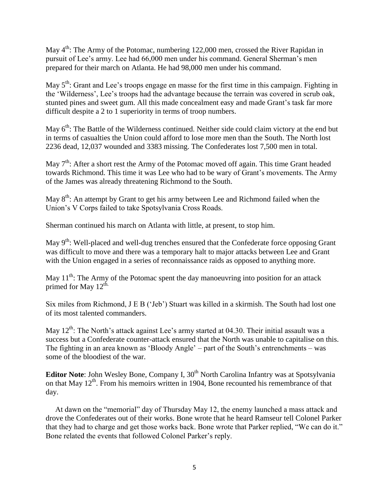May  $4<sup>th</sup>$ : The Army of the Potomac, numbering 122,000 men, crossed the River Rapidan in pursuit of Lee's army. Lee had 66,000 men under his command. General Sherman's men prepared for their march on Atlanta. He had 98,000 men under his command.

May 5<sup>th</sup>: Grant and Lee's troops engage en masse for the first time in this campaign. Fighting in the 'Wilderness', Lee's troops had the advantage because the terrain was covered in scrub oak, stunted pines and sweet gum. All this made concealment easy and made Grant's task far more difficult despite a 2 to 1 superiority in terms of troop numbers.

May  $6<sup>th</sup>$ : The Battle of the Wilderness continued. Neither side could claim victory at the end but in terms of casualties the Union could afford to lose more men than the South. The North lost 2236 dead, 12,037 wounded and 3383 missing. The Confederates lost 7,500 men in total.

May 7<sup>th</sup>: After a short rest the Army of the Potomac moved off again. This time Grant headed towards Richmond. This time it was Lee who had to be wary of Grant's movements. The Army of the James was already threatening Richmond to the South.

May  $8<sup>th</sup>$ : An attempt by Grant to get his army between Lee and Richmond failed when the Union's V Corps failed to take Spotsylvania Cross Roads.

Sherman continued his march on Atlanta with little, at present, to stop him.

May 9<sup>th</sup>: Well-placed and well-dug trenches ensured that the Confederate force opposing Grant was difficult to move and there was a temporary halt to major attacks between Lee and Grant with the Union engaged in a series of reconnaissance raids as opposed to anything more.

May  $11^{th}$ : The Army of the Potomac spent the day manoeuvring into position for an attack primed for May  $12^{\text{th}}$ .

Six miles from Richmond, J E B ('Jeb') Stuart was killed in a skirmish. The South had lost one of its most talented commanders.

May  $12^{th}$ : The North's attack against Lee's army started at 04.30. Their initial assault was a success but a Confederate counter-attack ensured that the North was unable to capitalise on this. The fighting in an area known as 'Bloody Angle' – part of the South's entrenchments – was some of the bloodiest of the war.

**Editor Note**: John Wesley Bone, Company I, 30<sup>th</sup> North Carolina Infantry was at Spotsylvania on that May 12<sup>th</sup>. From his memoirs written in 1904, Bone recounted his remembrance of that day.

 At dawn on the "memorial" day of Thursday May 12, the enemy launched a mass attack and drove the Confederates out of their works. Bone wrote that he heard Ramseur tell Colonel Parker that they had to charge and get those works back. Bone wrote that Parker replied, "We can do it." Bone related the events that followed Colonel Parker's reply.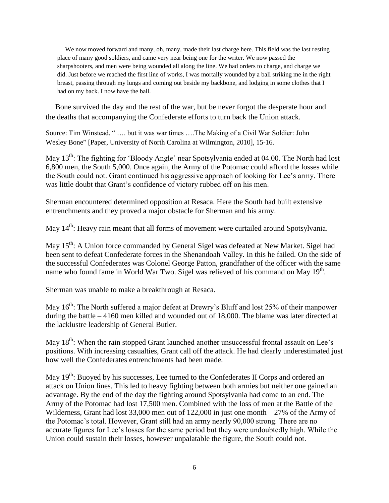We now moved forward and many, oh, many, made their last charge here. This field was the last resting place of many good soldiers, and came very near being one for the writer. We now passed the sharpshooters, and men were being wounded all along the line. We had orders to charge, and charge we did. Just before we reached the first line of works, I was mortally wounded by a ball striking me in the right breast, passing through my lungs and coming out beside my backbone, and lodging in some clothes that I had on my back. I now have the ball.

 Bone survived the day and the rest of the war, but be never forgot the desperate hour and the deaths that accompanying the Confederate efforts to turn back the Union attack.

Source: Tim Winstead, " …. but it was war times ….The Making of a Civil War Soldier: John Wesley Bone" [Paper, University of North Carolina at Wilmington, 2010], 15-16.

May  $13<sup>th</sup>$ : The fighting for 'Bloody Angle' near Spotsylvania ended at 04.00. The North had lost 6,800 men, the South 5,000. Once again, the Army of the Potomac could afford the losses while the South could not. Grant continued his aggressive approach of looking for Lee's army. There was little doubt that Grant's confidence of victory rubbed off on his men.

Sherman encountered determined opposition at Resaca. Here the South had built extensive entrenchments and they proved a major obstacle for Sherman and his army.

May 14<sup>th</sup>: Heavy rain meant that all forms of movement were curtailed around Spotsylvania.

May 15<sup>th</sup>: A Union force commanded by General Sigel was defeated at New Market. Sigel had been sent to defeat Confederate forces in the Shenandoah Valley. In this he failed. On the side of the successful Confederates was Colonel George Patton, grandfather of the officer with the same name who found fame in World War Two. Sigel was relieved of his command on May 19<sup>th</sup>.

Sherman was unable to make a breakthrough at Resaca.

May 16<sup>th</sup>: The North suffered a major defeat at Drewry's Bluff and lost 25% of their manpower during the battle – 4160 men killed and wounded out of 18,000. The blame was later directed at the lacklustre leadership of General Butler.

May 18<sup>th</sup>: When the rain stopped Grant launched another unsuccessful frontal assault on Lee's positions. With increasing casualties, Grant call off the attack. He had clearly underestimated just how well the Confederates entrenchments had been made.

May  $19<sup>th</sup>$ : Buoyed by his successes, Lee turned to the Confederates II Corps and ordered an attack on Union lines. This led to heavy fighting between both armies but neither one gained an advantage. By the end of the day the fighting around Spotsylvania had come to an end. The Army of the Potomac had lost 17,500 men. Combined with the loss of men at the Battle of the Wilderness, Grant had lost 33,000 men out of 122,000 in just one month – 27% of the Army of the Potomac's total. However, Grant still had an army nearly 90,000 strong. There are no accurate figures for Lee's losses for the same period but they were undoubtedly high. While the Union could sustain their losses, however unpalatable the figure, the South could not.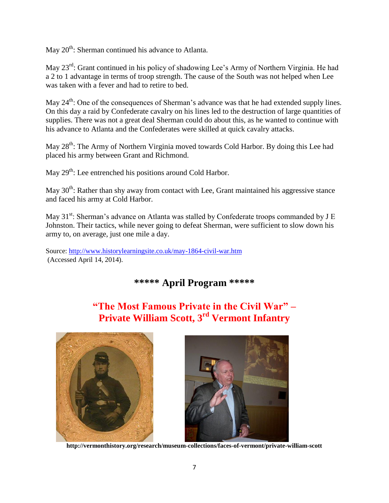May  $20^{th}$ : Sherman continued his advance to Atlanta.

May 23<sup>rd</sup>: Grant continued in his policy of shadowing Lee's Army of Northern Virginia. He had a 2 to 1 advantage in terms of troop strength. The cause of the South was not helped when Lee was taken with a fever and had to retire to bed.

May  $24<sup>th</sup>$ : One of the consequences of Sherman's advance was that he had extended supply lines. On this day a raid by Confederate cavalry on his lines led to the destruction of large quantities of supplies. There was not a great deal Sherman could do about this, as he wanted to continue with his advance to Atlanta and the Confederates were skilled at quick cavalry attacks.

May 28<sup>th</sup>: The Army of Northern Virginia moved towards Cold Harbor. By doing this Lee had placed his army between Grant and Richmond.

May 29<sup>th</sup>: Lee entrenched his positions around Cold Harbor.

May  $30<sup>th</sup>$ : Rather than shy away from contact with Lee, Grant maintained his aggressive stance and faced his army at Cold Harbor.

May  $31<sup>st</sup>$ : Sherman's advance on Atlanta was stalled by Confederate troops commanded by J E Johnston. Their tactics, while never going to defeat Sherman, were sufficient to slow down his army to, on average, just one mile a day.

 $\overline{a}$ Source:<http://www.historylearningsite.co.uk/may-1864-civil-war.htm> (Accessed April 14, 2014).

**\*\*\*\*\* April Program \*\*\*\*\***

**"The Most Famous Private in the Civil War" – Private William Scott, 3rd Vermont Infantry**





**http://vermonthistory.org/research/museum-collections/faces-of-vermont/private-william-scott**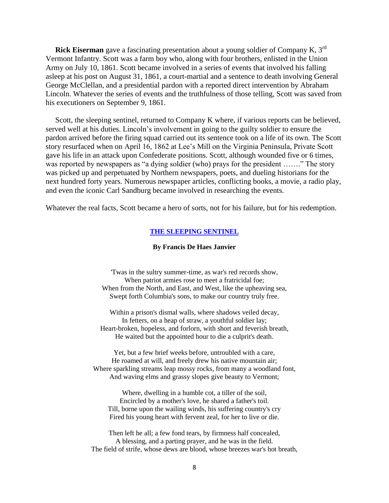**Rick Eiserman** gave a fascinating presentation about a young soldier of Company K, 3<sup>rd</sup> Vermont Infantry. Scott was a farm boy who, along with four brothers, enlisted in the Union Army on July 10, 1861. Scott became involved in a series of events that involved his falling asleep at his post on August 31, 1861, a court-martial and a sentence to death involving General George McClellan, and a presidential pardon with a reported direct intervention by Abraham Lincoln. Whatever the series of events and the truthfulness of those telling, Scott was saved from his executioners on September 9, 1861.

 Scott, the sleeping sentinel, returned to Company K where, if various reports can be believed, served well at his duties. Lincoln's involvement in going to the guilty soldier to ensure the pardon arrived before the firing squad carried out its sentence took on a life of its own. The Scott story resurfaced when on April 16, 1862 at Lee's Mill on the Virginia Peninsula, Private Scott gave his life in an attack upon Confederate positions. Scott, although wounded five or 6 times, was reported by newspapers as "a dying soldier (who) prays for the president ......." The story was picked up and perpetuated by Northern newspapers, poets, and dueling historians for the next hundred forty years. Numerous newspaper articles, conflicting books, a movie, a radio play, and even the iconic Carl Sandburg became involved in researching the events.

Whatever the real facts, Scott became a hero of sorts, not for his failure, but for his redemption.

#### **[THE SLEEPING SENTINEL](http://www.civilwarpoetry.org/union/soldierlife/sentinel-exp.html)**

#### **By Francis De Haes Janvier**

'Twas in the sultry summer-time, as war's red records show, When patriot armies rose to meet a fratricidal foe; When from the North, and East, and West, like the upheaving sea, Swept forth Columbia's sons, to make our country truly free.

Within a prison's dismal walls, where shadows veiled decay, In fetters, on a heap of straw, a youthful soldier lay; Heart-broken, hopeless, and forlorn, with short and feverish breath, He waited but the appointed hour to die a culprit's death.

Yet, but a few brief weeks before, untroubled with a care, He roamed at will, and freely drew his native mountain air; Where sparkling streams leap mossy rocks, from many a woodland font, And waving elms and grassy slopes give beauty to Vermont;

Where, dwelling in a humble cot, a tiller of the soil, Encircled by a mother's love, he shared a father's toil. Till, borne upon the wailing winds, his suffering country's cry Fired his young heart with fervent zeal, for her to live or die.

Then left he all; a few fond tears, by firmness half concealed, A blessing, and a parting prayer, and he was in the field. The field of strife, whose dews are blood, whose breezes war's hot breath,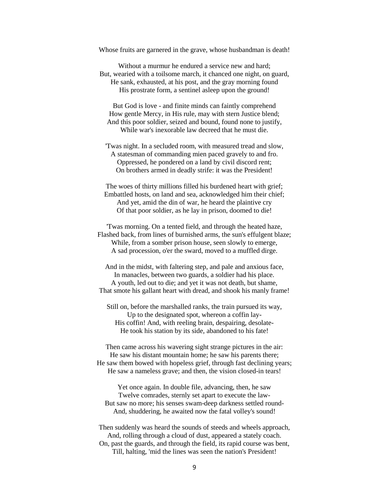Whose fruits are garnered in the grave, whose husbandman is death!

Without a murmur he endured a service new and hard; But, wearied with a toilsome march, it chanced one night, on guard, He sank, exhausted, at his post, and the gray morning found His prostrate form, a sentinel asleep upon the ground!

But God is love - and finite minds can faintly comprehend How gentle Mercy, in His rule, may with stern Justice blend; And this poor soldier, seized and bound, found none to justify, While war's inexorable law decreed that he must die.

'Twas night. In a secluded room, with measured tread and slow, A statesman of commanding mien paced gravely to and fro. Oppressed, he pondered on a land by civil discord rent; On brothers armed in deadly strife: it was the President!

The woes of thirty millions filled his burdened heart with grief; Embattled hosts, on land and sea, acknowledged him their chief; And yet, amid the din of war, he heard the plaintive cry Of that poor soldier, as he lay in prison, doomed to die!

'Twas morning. On a tented field, and through the heated haze, Flashed back, from lines of burnished arms, the sun's effulgent blaze; While, from a somber prison house, seen slowly to emerge, A sad procession, o'er the sward, moved to a muffled dirge.

And in the midst, with faltering step, and pale and anxious face, In manacles, between two guards, a soldier had his place. A youth, led out to die; and yet it was not death, but shame, That smote his gallant heart with dread, and shook his manly frame!

Still on, before the marshalled ranks, the train pursued its way, Up to the designated spot, whereon a coffin lay-His coffin! And, with reeling brain, despairing, desolate-He took his station by its side, abandoned to his fate!

Then came across his wavering sight strange pictures in the air: He saw his distant mountain home; he saw his parents there; He saw them bowed with hopeless grief, through fast declining years; He saw a nameless grave; and then, the vision closed-in tears!

Yet once again. In double file, advancing, then, he saw Twelve comrades, sternly set apart to execute the law-But saw no more; his senses swam-deep darkness settled round-And, shuddering, he awaited now the fatal volley's sound!

Then suddenly was heard the sounds of steeds and wheels approach, And, rolling through a cloud of dust, appeared a stately coach. On, past the guards, and through the field, its rapid course was bent, Till, halting, 'mid the lines was seen the nation's President!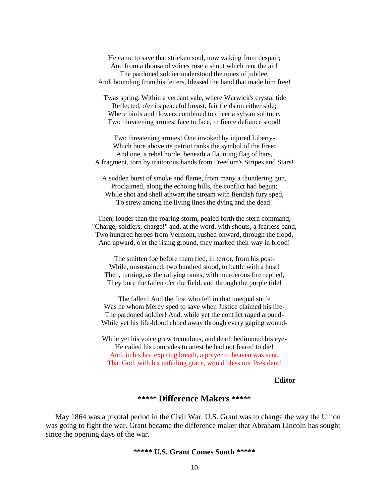He came to save that stricken soul, now waking from despair; And from a thousand voices rose a shout which rent the air! The pardoned soldier understood the tones of jubilee, And, bounding from his fetters, blessed the hand that made him free!

'Twas spring. Within a verdant vale, where Warwick's crystal tide Reflected, o'er its peaceful breast, fair fields on either side; Where birds and flowers combined to cheer a sylvan solitude, Two threatening armies, face to face, in fierce defiance stood!

Two threatening armies! One invoked by injured Liberty-Which bore above its patriot ranks the symbol of the Free; And one, a rebel horde, beneath a flaunting flag of bars, A fragment, torn by traitorous hands from Freedom's Stripes and Stars!

A sudden burst of smoke and flame, from many a thundering gun, Proclaimed, along the echoing hills, the conflict had begun; While shot and shell athwart the stream with fiendish fury sped, To strew among the living lines the dying and the dead!

Then, louder than the roaring storm, pealed forth the stern command, "Charge, soldiers, charge!" and, at the word, with shouts, a fearless band, Two hundred heroes from Vermont, rushed onward, through the flood, And upward, o'er the rising ground, they marked their way in blood!

The smitten foe before them fled, in terror, from his post-While, unsustained, two hundred stood, to battle with a host! Then, turning, as the rallying ranks, with murderous fire replied, They bore the fallen o'er the field, and through the purple tide!

The fallen! And the first who fell in that unequal strife Was he whom Mercy sped to save when Justice claimed his life-The pardoned soldier! And, while yet the conflict raged around-While yet his life-blood ebbed away through every gaping wound-

While yet his voice grew tremulous, and death bedimmed his eye-He called his comrades to attest he had not feared to die! And, in his last expiring breath, a prayer to heaven was sent, That God, with his unfailing grace, would bless our President!

#### **Editor**

#### **\*\*\*\*\* Difference Makers \*\*\*\*\***

May 1864 was a pivotal period in the Civil War. U.S. Grant was to change the way the Union was going to fight the war. Grant became the difference maker that Abraham Lincoln has sought since the opening days of the war.

#### **\*\*\*\*\* U.S. Grant Comes South \*\*\*\*\***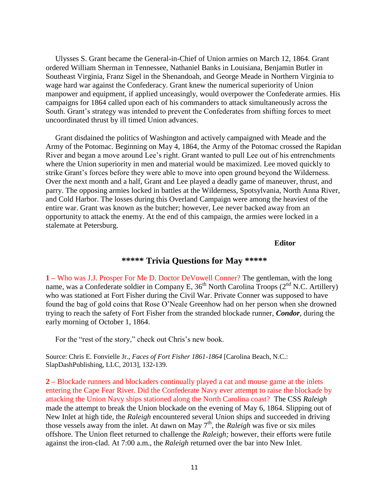Ulysses S. Grant became the General-in-Chief of Union armies on March 12, 1864. Grant ordered William Sherman in Tennessee, Nathaniel Banks in Louisiana, Benjamin Butler in Southeast Virginia, Franz Sigel in the Shenandoah, and George Meade in Northern Virginia to wage hard war against the Confederacy. Grant knew the numerical superiority of Union manpower and equipment, if applied unceasingly, would overpower the Confederate armies. His campaigns for 1864 called upon each of his commanders to attack simultaneously across the South. Grant's strategy was intended to prevent the Confederates from shifting forces to meet uncoordinated thrust by ill timed Union advances.

 Grant disdained the politics of Washington and actively campaigned with Meade and the Army of the Potomac. Beginning on May 4, 1864, the Army of the Potomac crossed the Rapidan River and began a move around Lee's right. Grant wanted to pull Lee out of his entrenchments where the Union superiority in men and material would be maximized. Lee moved quickly to strike Grant's forces before they were able to move into open ground beyond the Wilderness. Over the next month and a half, Grant and Lee played a deadly game of maneuver, thrust, and parry. The opposing armies locked in battles at the Wilderness, Spotsylvania, North Anna River, and Cold Harbor. The losses during this Overland Campaign were among the heaviest of the entire war. Grant was known as the butcher; however, Lee never backed away from an opportunity to attack the enemy. At the end of this campaign, the armies were locked in a stalemate at Petersburg.

#### **Editor**

### **\*\*\*\*\* Trivia Questions for May \*\*\*\*\***

**1 –** Who was J.J. Prosper For Me D. Doctor DeVowell Conner? The gentleman, with the long name, was a Confederate soldier in Company E,  $36<sup>th</sup>$  North Carolina Troops ( $2<sup>nd</sup>$  N.C. Artillery) who was stationed at Fort Fisher during the Civil War. Private Conner was supposed to have found the bag of gold coins that Rose O'Neale Greenhow had on her person when she drowned trying to reach the safety of Fort Fisher from the stranded blockade runner, *Condor*, during the early morning of October 1, 1864.

For the "rest of the story," check out Chris's new book.

Source: Chris E. Fonvielle Jr., *Faces of Fort Fisher 1861-1864* [Carolina Beach, N.C.: SlapDashPublishing, LLC, 2013], 132-139.

**2 –** Blockade runners and blockaders continually played a cat and mouse game at the inlets entering the Cape Fear River. Did the Confederate Navy ever attempt to raise the blockade by attacking the Union Navy ships stationed along the North Carolina coast? The CSS *Raleigh*  made the attempt to break the Union blockade on the evening of May 6, 1864. Slipping out of New Inlet at high tide, the *Raleigh* encountered several Union ships and succeeded in driving those vessels away from the inlet. At dawn on May 7<sup>th</sup>, the *Raleigh* was five or six miles offshore. The Union fleet returned to challenge the *Raleigh;* however, their efforts were futile against the iron-clad. At 7:00 a.m., the *Raleigh* returned over the bar into New Inlet.